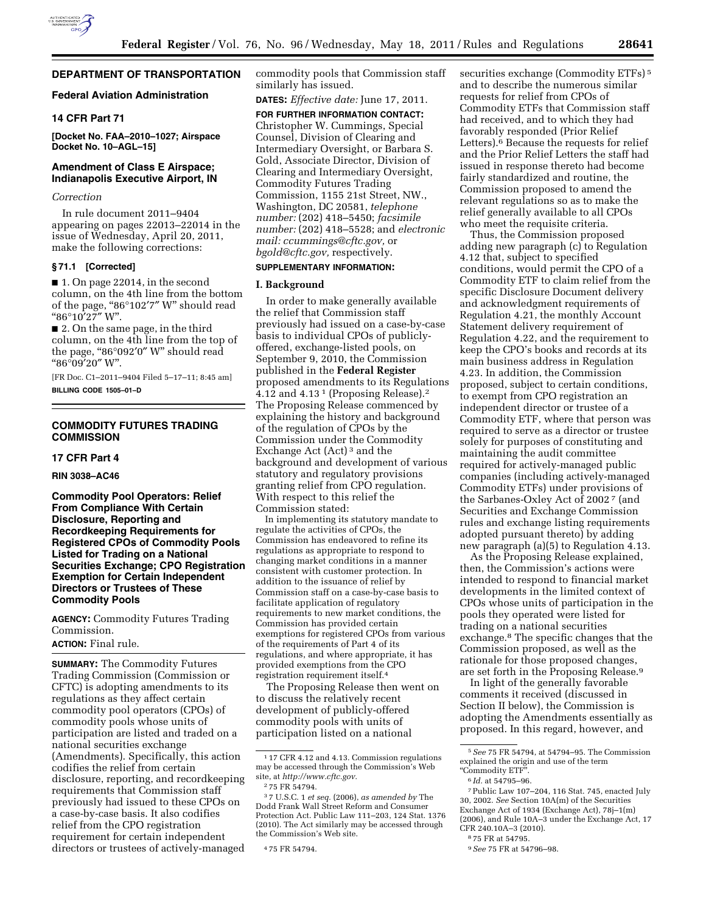

### **Federal Aviation Administration**

## **14 CFR Part 71**

**[Docket No. FAA–2010–1027; Airspace Docket No. 10–AGL–15]** 

## **Amendment of Class E Airspace; Indianapolis Executive Airport, IN**

#### *Correction*

In rule document 2011–9404 appearing on pages 22013–22014 in the issue of Wednesday, April 20, 2011, make the following corrections:

#### **§ 71.1 [Corrected]**

■ 1. On page 22014, in the second column, on the 4th line from the bottom of the page, "86°102'7" W" should read ''86°10′27″ W''.

■ 2. On the same page, in the third column, on the 4th line from the top of the page, "86°092'0" W" should read ''86°09′20″ W''.

[FR Doc. C1–2011–9404 Filed 5–17–11; 8:45 am] **BILLING CODE 1505–01–D** 

## **COMMODITY FUTURES TRADING COMMISSION**

# **17 CFR Part 4**

## **RIN 3038–AC46**

**Commodity Pool Operators: Relief From Compliance With Certain Disclosure, Reporting and Recordkeeping Requirements for Registered CPOs of Commodity Pools Listed for Trading on a National Securities Exchange; CPO Registration Exemption for Certain Independent Directors or Trustees of These Commodity Pools** 

**AGENCY:** Commodity Futures Trading Commission.

#### **ACTION:** Final rule.

**SUMMARY:** The Commodity Futures Trading Commission (Commission or CFTC) is adopting amendments to its regulations as they affect certain commodity pool operators (CPOs) of commodity pools whose units of participation are listed and traded on a national securities exchange (Amendments). Specifically, this action codifies the relief from certain disclosure, reporting, and recordkeeping requirements that Commission staff previously had issued to these CPOs on a case-by-case basis. It also codifies relief from the CPO registration requirement for certain independent directors or trustees of actively-managed commodity pools that Commission staff similarly has issued.

**DATES:** *Effective date:* June 17, 2011.

**FOR FURTHER INFORMATION CONTACT:**  Christopher W. Cummings, Special Counsel, Division of Clearing and Intermediary Oversight, or Barbara S. Gold, Associate Director, Division of Clearing and Intermediary Oversight, Commodity Futures Trading Commission, 1155 21st Street, NW., Washington, DC 20581, *telephone number:* (202) 418–5450; *facsimile number:* (202) 418–5528; and *electronic mail: ccummings@cftc.gov,* or *[bgold@cftc.gov,](mailto:bgold@cftc.gov)* respectively.

## **SUPPLEMENTARY INFORMATION:**

#### **I. Background**

In order to make generally available the relief that Commission staff previously had issued on a case-by-case basis to individual CPOs of publiclyoffered, exchange-listed pools, on September 9, 2010, the Commission published in the **Federal Register**  proposed amendments to its Regulations  $4.12$  and  $4.13$ <sup>1</sup> (Proposing Release).<sup>2</sup> The Proposing Release commenced by explaining the history and background of the regulation of CPOs by the Commission under the Commodity Exchange Act (Act) 3 and the background and development of various statutory and regulatory provisions granting relief from CPO regulation. With respect to this relief the Commission stated:

In implementing its statutory mandate to regulate the activities of CPOs, the Commission has endeavored to refine its regulations as appropriate to respond to changing market conditions in a manner consistent with customer protection. In addition to the issuance of relief by Commission staff on a case-by-case basis to facilitate application of regulatory requirements to new market conditions, the Commission has provided certain exemptions for registered CPOs from various of the requirements of Part 4 of its regulations, and where appropriate, it has provided exemptions from the CPO registration requirement itself.4

The Proposing Release then went on to discuss the relatively recent development of publicly-offered commodity pools with units of participation listed on a national

3 7 U.S.C. 1 *et seq.* (2006), *as amended by* The Dodd Frank Wall Street Reform and Consumer Protection Act. Public Law 111–203, 124 Stat. 1376 (2010). The Act similarly may be accessed through the Commission's Web site.

securities exchange (Commodity ETFs) 5 and to describe the numerous similar requests for relief from CPOs of Commodity ETFs that Commission staff had received, and to which they had favorably responded (Prior Relief Letters).<sup>6</sup> Because the requests for relief and the Prior Relief Letters the staff had issued in response thereto had become fairly standardized and routine, the Commission proposed to amend the relevant regulations so as to make the relief generally available to all CPOs who meet the requisite criteria.

Thus, the Commission proposed adding new paragraph (c) to Regulation 4.12 that, subject to specified conditions, would permit the CPO of a Commodity ETF to claim relief from the specific Disclosure Document delivery and acknowledgment requirements of Regulation 4.21, the monthly Account Statement delivery requirement of Regulation 4.22, and the requirement to keep the CPO's books and records at its main business address in Regulation 4.23. In addition, the Commission proposed, subject to certain conditions, to exempt from CPO registration an independent director or trustee of a Commodity ETF, where that person was required to serve as a director or trustee solely for purposes of constituting and maintaining the audit committee required for actively-managed public companies (including actively-managed Commodity ETFs) under provisions of the Sarbanes-Oxley Act of 2002 7 (and Securities and Exchange Commission rules and exchange listing requirements adopted pursuant thereto) by adding new paragraph (a)(5) to Regulation  $\frac{3}{4}$ .13.

As the Proposing Release explained, then, the Commission's actions were intended to respond to financial market developments in the limited context of CPOs whose units of participation in the pools they operated were listed for trading on a national securities exchange.8 The specific changes that the Commission proposed, as well as the rationale for those proposed changes, are set forth in the Proposing Release.9

In light of the generally favorable comments it received (discussed in Section II below), the Commission is adopting the Amendments essentially as proposed. In this regard, however, and

<sup>1</sup> 17 CFR 4.12 and 4.13. Commission regulations may be accessed through the Commission's Web site, at *[http://www.cftc.gov.](http://www.cftc.gov)* 

<sup>2</sup> 75 FR 54794.

<sup>4</sup> 75 FR 54794.

<sup>5</sup>*See* 75 FR 54794, at 54794–95. The Commission explained the origin and use of the term ''Commodity ETF''.

<sup>6</sup> *Id.* at 54795–96.

<sup>7</sup>Public Law 107–204, 116 Stat. 745, enacted July 30, 2002. *See* Section 10A(m) of the Securities Exchange Act of 1934 (Exchange Act), 78j–1(m) (2006), and Rule 10A–3 under the Exchange Act, 17 CFR 240.10A–3 (2010).

<sup>8</sup> 75 FR at 54795.

<sup>9</sup>*See* 75 FR at 54796–98.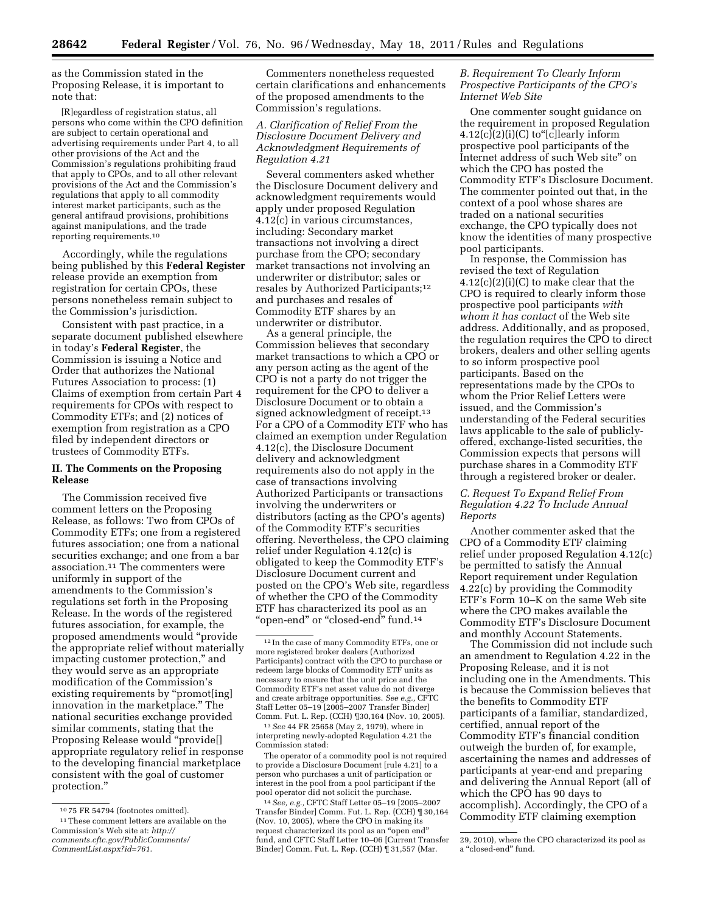as the Commission stated in the Proposing Release, it is important to note that:

[R]egardless of registration status, all persons who come within the CPO definition are subject to certain operational and advertising requirements under Part 4, to all other provisions of the Act and the Commission's regulations prohibiting fraud that apply to CPOs, and to all other relevant provisions of the Act and the Commission's regulations that apply to all commodity interest market participants, such as the general antifraud provisions, prohibitions against manipulations, and the trade reporting requirements.10

Accordingly, while the regulations being published by this **Federal Register**  release provide an exemption from registration for certain CPOs, these persons nonetheless remain subject to the Commission's jurisdiction.

Consistent with past practice, in a separate document published elsewhere in today's **Federal Register**, the Commission is issuing a Notice and Order that authorizes the National Futures Association to process: (1) Claims of exemption from certain Part 4 requirements for CPOs with respect to Commodity ETFs; and (2) notices of exemption from registration as a CPO filed by independent directors or trustees of Commodity ETFs.

## **II. The Comments on the Proposing Release**

The Commission received five comment letters on the Proposing Release, as follows: Two from CPOs of Commodity ETFs; one from a registered futures association; one from a national securities exchange; and one from a bar association.11 The commenters were uniformly in support of the amendments to the Commission's regulations set forth in the Proposing Release. In the words of the registered futures association, for example, the proposed amendments would ''provide the appropriate relief without materially impacting customer protection," and they would serve as an appropriate modification of the Commission's existing requirements by "promot[ing] innovation in the marketplace.'' The national securities exchange provided similar comments, stating that the Proposing Release would ''provide[] appropriate regulatory relief in response to the developing financial marketplace consistent with the goal of customer protection.''

11These comment letters are available on the Commission's Web site at: *[http://](http://comments.cftc.gov/PublicComments/CommentList.aspx?id=761)  [comments.cftc.gov/PublicComments/](http://comments.cftc.gov/PublicComments/CommentList.aspx?id=761)  [CommentList.aspx?id=761](http://comments.cftc.gov/PublicComments/CommentList.aspx?id=761)*.

Commenters nonetheless requested certain clarifications and enhancements of the proposed amendments to the Commission's regulations.

## *A. Clarification of Relief From the Disclosure Document Delivery and Acknowledgment Requirements of Regulation 4.21*

Several commenters asked whether the Disclosure Document delivery and acknowledgment requirements would apply under proposed Regulation 4.12(c) in various circumstances, including: Secondary market transactions not involving a direct purchase from the CPO; secondary market transactions not involving an underwriter or distributor; sales or resales by Authorized Participants;12 and purchases and resales of Commodity ETF shares by an underwriter or distributor.

As a general principle, the Commission believes that secondary market transactions to which a CPO or any person acting as the agent of the CPO is not a party do not trigger the requirement for the CPO to deliver a Disclosure Document or to obtain a signed acknowledgment of receipt.<sup>13</sup> For a CPO of a Commodity ETF who has claimed an exemption under Regulation 4.12(c), the Disclosure Document delivery and acknowledgment requirements also do not apply in the case of transactions involving Authorized Participants or transactions involving the underwriters or distributors (acting as the CPO's agents) of the Commodity ETF's securities offering. Nevertheless, the CPO claiming relief under Regulation 4.12(c) is obligated to keep the Commodity ETF's Disclosure Document current and posted on the CPO's Web site, regardless of whether the CPO of the Commodity ETF has characterized its pool as an "open-end" or "closed-end" fund.<sup>14</sup>

13*See* 44 FR 25658 (May 2, 1979), where in interpreting newly-adopted Regulation 4.21 the Commission stated:

The operator of a commodity pool is not required to provide a Disclosure Document [rule 4.21] to a person who purchases a unit of participation or interest in the pool from a pool participant if the pool operator did not solicit the purchase.

14*See, e.g.,* CFTC Staff Letter 05–19 [2005–2007 Transfer Binder] Comm. Fut. L. Rep. (CCH) ¶ 30,164 (Nov. 10, 2005), where the CPO in making its request characterized its pool as an ''open end'' fund, and CFTC Staff Letter 10–06 [Current Transfer Binder] Comm. Fut. L. Rep. (CCH) ¶ 31,557 (Mar.

## *B. Requirement To Clearly Inform Prospective Participants of the CPO's Internet Web Site*

One commenter sought guidance on the requirement in proposed Regulation 4.12(c)(2)(i)(C) to''[c]learly inform prospective pool participants of the Internet address of such Web site'' on which the CPO has posted the Commodity ETF's Disclosure Document. The commenter pointed out that, in the context of a pool whose shares are traded on a national securities exchange, the CPO typically does not know the identities of many prospective pool participants.

In response, the Commission has revised the text of Regulation 4.12(c)(2)(i)(C) to make clear that the CPO is required to clearly inform those prospective pool participants *with whom it has contact* of the Web site address. Additionally, and as proposed, the regulation requires the CPO to direct brokers, dealers and other selling agents to so inform prospective pool participants. Based on the representations made by the CPOs to whom the Prior Relief Letters were issued, and the Commission's understanding of the Federal securities laws applicable to the sale of publiclyoffered, exchange-listed securities, the Commission expects that persons will purchase shares in a Commodity ETF through a registered broker or dealer.

## *C. Request To Expand Relief From Regulation 4.22 To Include Annual Reports*

Another commenter asked that the CPO of a Commodity ETF claiming relief under proposed Regulation 4.12(c) be permitted to satisfy the Annual Report requirement under Regulation 4.22(c) by providing the Commodity ETF's Form 10–K on the same Web site where the CPO makes available the Commodity ETF's Disclosure Document and monthly Account Statements.

The Commission did not include such an amendment to Regulation 4.22 in the Proposing Release, and it is not including one in the Amendments. This is because the Commission believes that the benefits to Commodity ETF participants of a familiar, standardized, certified, annual report of the Commodity ETF's financial condition outweigh the burden of, for example, ascertaining the names and addresses of participants at year-end and preparing and delivering the Annual Report (all of which the CPO has 90 days to accomplish). Accordingly, the CPO of a Commodity ETF claiming exemption

<sup>10</sup> 75 FR 54794 (footnotes omitted).

<sup>12</sup> In the case of many Commodity ETFs, one or more registered broker dealers (Authorized Participants) contract with the CPO to purchase or redeem large blocks of Commodity ETF units as necessary to ensure that the unit price and the Commodity ETF's net asset value do not diverge and create arbitrage opportunities. *See e.g.,* CFTC Staff Letter 05–19 [2005–2007 Transfer Binder] Comm. Fut. L. Rep. (CCH) ¶30,164 (Nov. 10, 2005).

<sup>29, 2010),</sup> where the CPO characterized its pool as a "closed-end" fund.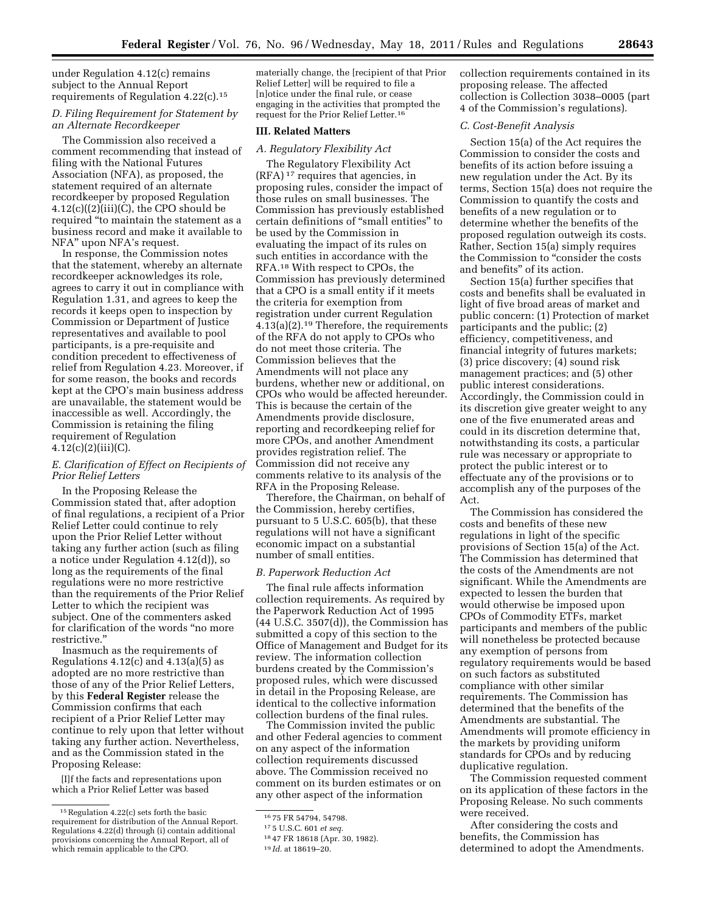under Regulation 4.12(c) remains subject to the Annual Report requirements of Regulation 4.22(c).15

# *D. Filing Requirement for Statement by an Alternate Recordkeeper*

The Commission also received a comment recommending that instead of filing with the National Futures Association (NFA), as proposed, the statement required of an alternate recordkeeper by proposed Regulation  $4.12(c)((2)(iii)(C),$  the CPO should be required ''to maintain the statement as a business record and make it available to NFA'' upon NFA's request.

In response, the Commission notes that the statement, whereby an alternate recordkeeper acknowledges its role, agrees to carry it out in compliance with Regulation 1.31, and agrees to keep the records it keeps open to inspection by Commission or Department of Justice representatives and available to pool participants, is a pre-requisite and condition precedent to effectiveness of relief from Regulation 4.23. Moreover, if for some reason, the books and records kept at the CPO's main business address are unavailable, the statement would be inaccessible as well. Accordingly, the Commission is retaining the filing requirement of Regulation  $4.12(c)(2)(iii)(C).$ 

## *E. Clarification of Effect on Recipients of Prior Relief Letters*

In the Proposing Release the Commission stated that, after adoption of final regulations, a recipient of a Prior Relief Letter could continue to rely upon the Prior Relief Letter without taking any further action (such as filing a notice under Regulation 4.12(d)), so long as the requirements of the final regulations were no more restrictive than the requirements of the Prior Relief Letter to which the recipient was subject. One of the commenters asked for clarification of the words ''no more restrictive.''

Inasmuch as the requirements of Regulations  $4.12(c)$  and  $4.13(a)(5)$  as adopted are no more restrictive than those of any of the Prior Relief Letters, by this **Federal Register** release the Commission confirms that each recipient of a Prior Relief Letter may continue to rely upon that letter without taking any further action. Nevertheless, and as the Commission stated in the Proposing Release:

[I]f the facts and representations upon which a Prior Relief Letter was based

materially change, the [recipient of that Prior Relief Letter] will be required to file a [n]otice under the final rule, or cease engaging in the activities that prompted the request for the Prior Relief Letter.16

# **III. Related Matters**

#### *A. Regulatory Flexibility Act*

The Regulatory Flexibility Act (RFA) 17 requires that agencies, in proposing rules, consider the impact of those rules on small businesses. The Commission has previously established certain definitions of ''small entities'' to be used by the Commission in evaluating the impact of its rules on such entities in accordance with the RFA.18 With respect to CPOs, the Commission has previously determined that a CPO is a small entity if it meets the criteria for exemption from registration under current Regulation 4.13(a)(2).19 Therefore, the requirements of the RFA do not apply to CPOs who do not meet those criteria. The Commission believes that the Amendments will not place any burdens, whether new or additional, on CPOs who would be affected hereunder. This is because the certain of the Amendments provide disclosure, reporting and recordkeeping relief for more CPOs, and another Amendment provides registration relief. The Commission did not receive any comments relative to its analysis of the RFA in the Proposing Release.

Therefore, the Chairman, on behalf of the Commission, hereby certifies, pursuant to 5 U.S.C. 605(b), that these regulations will not have a significant economic impact on a substantial number of small entities.

#### *B. Paperwork Reduction Act*

The final rule affects information collection requirements. As required by the Paperwork Reduction Act of 1995 (44 U.S.C. 3507(d)), the Commission has submitted a copy of this section to the Office of Management and Budget for its review. The information collection burdens created by the Commission's proposed rules, which were discussed in detail in the Proposing Release, are identical to the collective information collection burdens of the final rules.

The Commission invited the public and other Federal agencies to comment on any aspect of the information collection requirements discussed above. The Commission received no comment on its burden estimates or on any other aspect of the information

collection requirements contained in its proposing release. The affected collection is Collection 3038–0005 (part 4 of the Commission's regulations).

## *C. Cost-Benefit Analysis*

Section 15(a) of the Act requires the Commission to consider the costs and benefits of its action before issuing a new regulation under the Act. By its terms, Section 15(a) does not require the Commission to quantify the costs and benefits of a new regulation or to determine whether the benefits of the proposed regulation outweigh its costs. Rather, Section 15(a) simply requires the Commission to ''consider the costs and benefits'' of its action.

Section 15(a) further specifies that costs and benefits shall be evaluated in light of five broad areas of market and public concern: (1) Protection of market participants and the public; (2) efficiency, competitiveness, and financial integrity of futures markets; (3) price discovery; (4) sound risk management practices; and (5) other public interest considerations. Accordingly, the Commission could in its discretion give greater weight to any one of the five enumerated areas and could in its discretion determine that, notwithstanding its costs, a particular rule was necessary or appropriate to protect the public interest or to effectuate any of the provisions or to accomplish any of the purposes of the Act.

The Commission has considered the costs and benefits of these new regulations in light of the specific provisions of Section 15(a) of the Act. The Commission has determined that the costs of the Amendments are not significant. While the Amendments are expected to lessen the burden that would otherwise be imposed upon CPOs of Commodity ETFs, market participants and members of the public will nonetheless be protected because any exemption of persons from regulatory requirements would be based on such factors as substituted compliance with other similar requirements. The Commission has determined that the benefits of the Amendments are substantial. The Amendments will promote efficiency in the markets by providing uniform standards for CPOs and by reducing duplicative regulation.

The Commission requested comment on its application of these factors in the Proposing Release. No such comments were received.

After considering the costs and benefits, the Commission has determined to adopt the Amendments.

<sup>15</sup>Regulation 4.22(c) sets forth the basic requirement for distribution of the Annual Report. Regulations 4.22(d) through (i) contain additional provisions concerning the Annual Report, all of which remain applicable to the CPO.

<sup>16</sup> 75 FR 54794, 54798.

<sup>17</sup> 5 U.S.C. 601 *et seq.* 

<sup>18</sup> 47 FR 18618 (Apr. 30, 1982).

<sup>19</sup> *Id.* at 18619–20.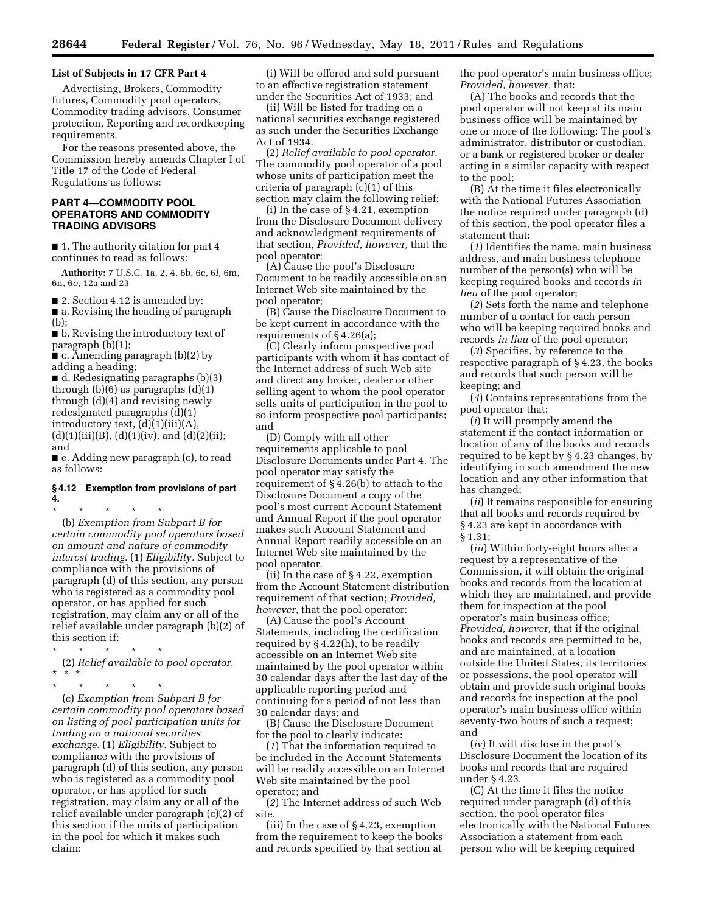#### **List of Subjects in 17 CFR Part 4**

Advertising, Brokers, Commodity futures, Commodity pool operators, Commodity trading advisors, Consumer protection, Reporting and recordkeeping requirements.

For the reasons presented above, the Commission hereby amends Chapter I of Title 17 of the Code of Federal Regulations as follows:

### **PART 4—COMMODITY POOL OPERATORS AND COMMODITY TRADING ADVISORS**

■ 1. The authority citation for part 4 continues to read as follows:

**Authority:** 7 U.S.C. 1a, 2, 4, 6b, 6c, 6*l,* 6m, 6n, 6*o,* 12a and 23

■ 2. Section 4.12 is amended by: ■ a. Revising the heading of paragraph (b);

■ b. Revising the introductory text of paragraph (b)(1);

 $\bullet$  c. Amending paragraph (b)(2) by adding a heading;

■ d. Redesignating paragraphs (b)(3) through  $(b)(6)$  as paragraphs  $(d)(1)$ through (d)(4) and revising newly redesignated paragraphs (d)(1) introductory text, (d)(1)(iii)(A),  $(d)(1)(iii)(B), (d)(1)(iv), and (d)(2)(ii);$ and

■ e. Adding new paragraph (c), to read as follows:

## **§ 4.12 Exemption from provisions of part 4.**

\* \* \* \* \* (b) *Exemption from Subpart B for certain commodity pool operators based on amount and nature of commodity interest trading.* (1) *Eligibility.* Subject to compliance with the provisions of paragraph (d) of this section, any person who is registered as a commodity pool operator, or has applied for such registration, may claim any or all of the relief available under paragraph (b)(2) of

- $*$  \* (2) *Relief available to pool operator.*
- \* \* \*

this section if:

\* \* \* \* \* (c) *Exemption from Subpart B for certain commodity pool operators based on listing of pool participation units for trading on a national securities exchange.* (1) *Eligibility.* Subject to compliance with the provisions of paragraph (d) of this section, any person who is registered as a commodity pool operator, or has applied for such registration, may claim any or all of the relief available under paragraph (c)(2) of this section if the units of participation in the pool for which it makes such claim:

(i) Will be offered and sold pursuant to an effective registration statement under the Securities Act of 1933; and

(ii) Will be listed for trading on a national securities exchange registered as such under the Securities Exchange Act of 1934.

(2) *Relief available to pool operator.*  The commodity pool operator of a pool whose units of participation meet the criteria of paragraph (c)(1) of this section may claim the following relief:

(i) In the case of § 4.21, exemption from the Disclosure Document delivery and acknowledgment requirements of that section, *Provided, however,* that the pool operator:

(A) Cause the pool's Disclosure Document to be readily accessible on an Internet Web site maintained by the pool operator;

(B) Cause the Disclosure Document to be kept current in accordance with the requirements of § 4.26(a);

(C) Clearly inform prospective pool participants with whom it has contact of the Internet address of such Web site and direct any broker, dealer or other selling agent to whom the pool operator sells units of participation in the pool to so inform prospective pool participants; and

(D) Comply with all other requirements applicable to pool Disclosure Documents under Part 4. The pool operator may satisfy the requirement of § 4.26(b) to attach to the Disclosure Document a copy of the pool's most current Account Statement and Annual Report if the pool operator makes such Account Statement and Annual Report readily accessible on an Internet Web site maintained by the pool operator.

(ii) In the case of § 4.22, exemption from the Account Statement distribution requirement of that section; *Provided, however,* that the pool operator:

(A) Cause the pool's Account Statements, including the certification required by § 4.22(h), to be readily accessible on an Internet Web site maintained by the pool operator within 30 calendar days after the last day of the applicable reporting period and continuing for a period of not less than 30 calendar days; and

(B) Cause the Disclosure Document for the pool to clearly indicate:

(*1*) That the information required to be included in the Account Statements will be readily accessible on an Internet Web site maintained by the pool operator; and

(*2*) The Internet address of such Web site.

(iii) In the case of § 4.23, exemption from the requirement to keep the books and records specified by that section at the pool operator's main business office; *Provided, however,* that:

(A) The books and records that the pool operator will not keep at its main business office will be maintained by one or more of the following: The pool's administrator, distributor or custodian, or a bank or registered broker or dealer acting in a similar capacity with respect to the pool;

(B) At the time it files electronically with the National Futures Association the notice required under paragraph (d) of this section, the pool operator files a statement that:

(*1*) Identifies the name, main business address, and main business telephone number of the person(s) who will be keeping required books and records *in lieu* of the pool operator;

(*2*) Sets forth the name and telephone number of a contact for each person who will be keeping required books and records *in lieu* of the pool operator;

(*3*) Specifies, by reference to the respective paragraph of § 4.23, the books and records that such person will be keeping; and

(*4*) Contains representations from the pool operator that:

(*i*) It will promptly amend the statement if the contact information or location of any of the books and records required to be kept by § 4.23 changes, by identifying in such amendment the new location and any other information that has changed;

(*ii*) It remains responsible for ensuring that all books and records required by § 4.23 are kept in accordance with § 1.31;

(*iii*) Within forty-eight hours after a request by a representative of the Commission, it will obtain the original books and records from the location at which they are maintained, and provide them for inspection at the pool operator's main business office; *Provided, however,* that if the original books and records are permitted to be, and are maintained, at a location outside the United States, its territories or possessions, the pool operator will obtain and provide such original books and records for inspection at the pool operator's main business office within seventy-two hours of such a request; and

(*iv*) It will disclose in the pool's Disclosure Document the location of its books and records that are required under § 4.23.

(C) At the time it files the notice required under paragraph (d) of this section, the pool operator files electronically with the National Futures Association a statement from each person who will be keeping required